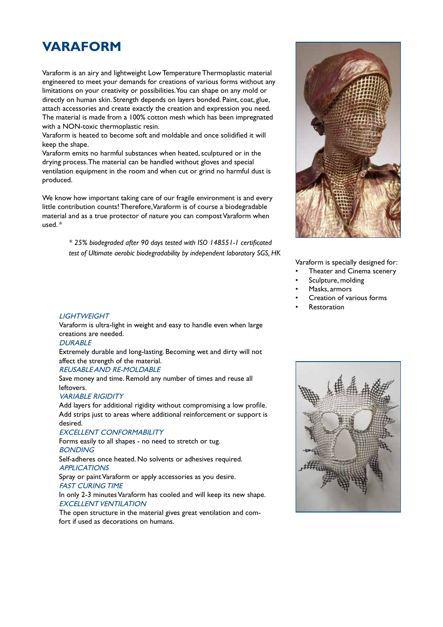## **VARAFORM**

Varaform is an airy and lightweight Low Temperature Thermoplastic material engineered to meet your demands for creations of various forms without any limitations on your creativity or possibilities. You can shape on any mold or directly on human skin. Strength depends on layers bonded. Paint, coat, glue, attach accessories and create exactly the creation and expression you need. The material is made from a 100% cotton mesh which has been impregnated with a NON-toxic thermoplastic resin.

Varaform is heated to become soft and moldable and once solidified it will keep the shape.

Varaform emits no harmful substances when heated, sculptured or in the drying process. The material can be handled without gloves and special ventilation equipment in the room and when cut or grind no harmful dust is produced.

We know how important taking care of our fragile environment is and every little contribution counts! Therefore, Varaform is of course a biodegradable material and as a true protector of nature you can compost Varaform when used. \*

> *\* 25% biodegraded after 90 days tested with ISO 148551-1 certificated test of Ultimate aerobic biodegradability by independent laboratory SGS, HK*



Varaform is specially designed for:

- Theater and Cinema scenery
- Sculpture, molding
- Masks, armors
- Creation of various forms
- **Restoration**



Varaform is ultra-light in weight and easy to handle even when large creations are needed.

#### **DURABLE**

Extremely durable and long-lasting. Becoming wet and dirty will not affect the strength of the material.

#### REUSABLE AND RE-MOLDABLE

Save money and time. Remold any number of times and reuse all leftovers.

#### VARIABLE RIGIDITY

Add layers for additional rigidity without compromising a low profile. Add strips just to areas where additional reinforcement or support is desired.

#### EXCELLENT CONFORMABILITY

Forms easily to all shapes - no need to stretch or tug. BONDING

Self-adheres once heated. No solvents or adhesives required. **APPLICATIONS** 

Spray or paint Varaform or apply accessories as you desire. FAST CURING TIME

In only 2-3 minutes Varaform has cooled and will keep its new shape. EXCELLENT VENTILATION

The open structure in the material gives great ventilation and comfort if used as decorations on humans.